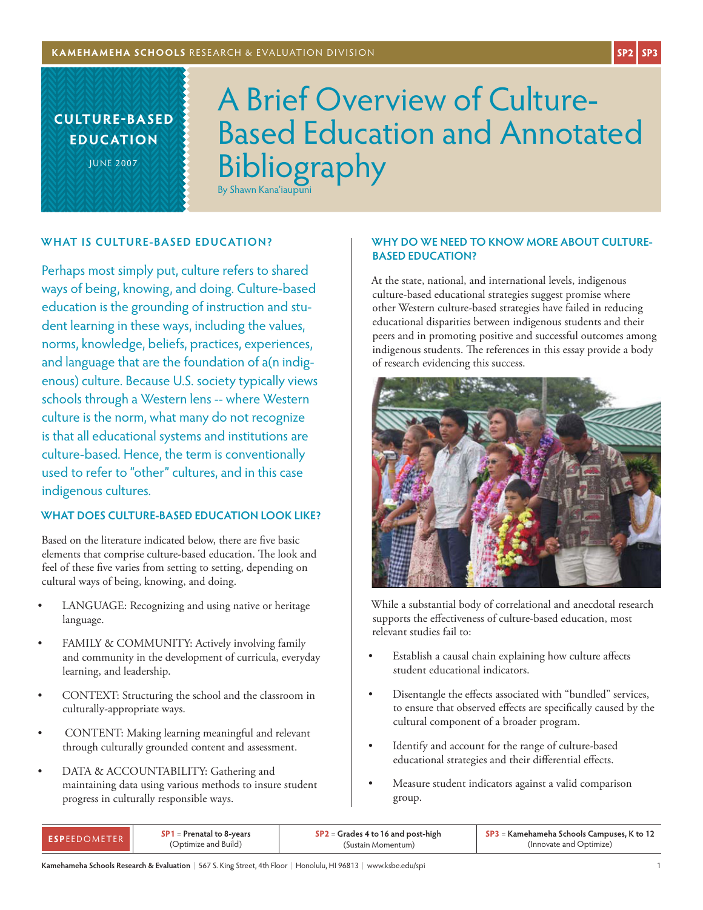**culture-based educ ation**

June 2007

# A Brief Overview of Culture-Based Education and Annotated Bibliography By Shawn Kana'iaupuni

## **WHAT IS CULTURE-BASED EDUCATION?**

Perhaps most simply put, culture refers to shared ways of being, knowing, and doing. Culture-based education is the grounding of instruction and student learning in these ways, including the values, norms, knowledge, beliefs, practices, experiences, and language that are the foundation of a(n indigenous) culture. Because U.S. society typically views schools through a Western lens -- where Western culture is the norm, what many do not recognize is that all educational systems and institutions are culture-based. Hence, the term is conventionally used to refer to "other" cultures, and in this case indigenous cultures.

#### **WHAT DOES CULTURE-BASED EDUCATION LOOK LIKE?**

Based on the literature indicated below, there are five basic elements that comprise culture-based education. The look and feel of these five varies from setting to setting, depending on cultural ways of being, knowing, and doing.

- LANGUAGE: Recognizing and using native or heritage language.
- FAMILY & COMMUNITY: Actively involving family and community in the development of curricula, everyday learning, and leadership.
- CONTEXT: Structuring the school and the classroom in culturally-appropriate ways.
- CONTENT: Making learning meaningful and relevant through culturally grounded content and assessment.
- DATA & ACCOUNTABILITY: Gathering and maintaining data using various methods to insure student progress in culturally responsible ways.

#### **WHY DO WE NEED TO KNOW MORE ABOUT CULTURE-BASED EDUCATION?**

At the state, national, and international levels, indigenous culture-based educational strategies suggest promise where other Western culture-based strategies have failed in reducing educational disparities between indigenous students and their peers and in promoting positive and successful outcomes among indigenous students. The references in this essay provide a body of research evidencing this success.



While a substantial body of correlational and anecdotal research supports the effectiveness of culture-based education, most relevant studies fail to:

- Establish a causal chain explaining how culture affects student educational indicators.
- Disentangle the effects associated with "bundled" services, to ensure that observed effects are specifically caused by the cultural component of a broader program.
- • Identify and account for the range of culture-based educational strategies and their differential effects.
- Measure student indicators against a valid comparison group.

| FSPFFDOMETER | $SP1 = Prenatal to 8-years$ | $SP2 =$ Grades 4 to 16 and post-high | SP3 = Kamehameha Schools Campuses, K to 12 |
|--------------|-----------------------------|--------------------------------------|--------------------------------------------|
|              | (Optimize and Build)        | (Sustain Momentum)                   | (Innovate and Optimize)                    |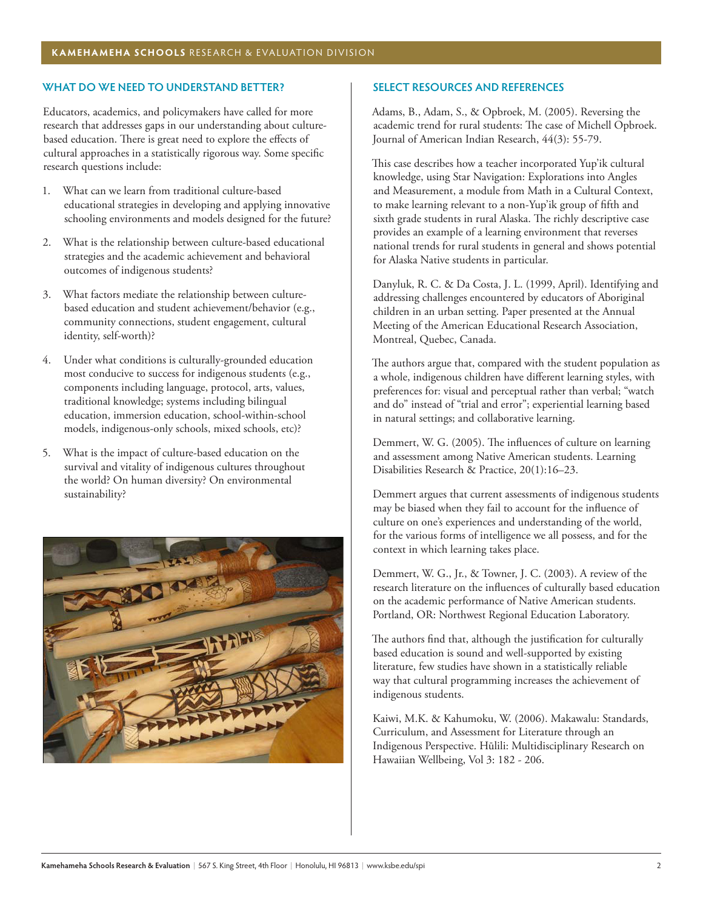#### **WHAT DO WE NEED TO UNDERSTAND BETTER?**

Educators, academics, and policymakers have called for more research that addresses gaps in our understanding about culturebased education. There is great need to explore the effects of cultural approaches in a statistically rigorous way. Some specific research questions include:

- 1. What can we learn from traditional culture-based educational strategies in developing and applying innovative schooling environments and models designed for the future?
- 2. What is the relationship between culture-based educational strategies and the academic achievement and behavioral outcomes of indigenous students?
- 3. What factors mediate the relationship between culturebased education and student achievement/behavior (e.g., community connections, student engagement, cultural identity, self-worth)?
- 4. Under what conditions is culturally-grounded education most conducive to success for indigenous students (e.g., components including language, protocol, arts, values, traditional knowledge; systems including bilingual education, immersion education, school-within-school models, indigenous-only schools, mixed schools, etc)?
- 5. What is the impact of culture-based education on the survival and vitality of indigenous cultures throughout the world? On human diversity? On environmental sustainability?



## **SELECT RESOURCES AND REFERENCES**

Adams, B., Adam, S., & Opbroek, M. (2005). Reversing the academic trend for rural students: The case of Michell Opbroek. Journal of American Indian Research, 44(3): 55-79.

This case describes how a teacher incorporated Yup'ik cultural knowledge, using Star Navigation: Explorations into Angles and Measurement, a module from Math in a Cultural Context, to make learning relevant to a non-Yup'ik group of fifth and sixth grade students in rural Alaska. The richly descriptive case provides an example of a learning environment that reverses national trends for rural students in general and shows potential for Alaska Native students in particular.

Danyluk, R. C. & Da Costa, J. L. (1999, April). Identifying and addressing challenges encountered by educators of Aboriginal children in an urban setting. Paper presented at the Annual Meeting of the American Educational Research Association, Montreal, Quebec, Canada.

The authors argue that, compared with the student population as a whole, indigenous children have different learning styles, with preferences for: visual and perceptual rather than verbal; "watch and do" instead of "trial and error"; experiential learning based in natural settings; and collaborative learning.

Demmert, W. G. (2005). The influences of culture on learning and assessment among Native American students. Learning Disabilities Research & Practice, 20(1):16–23.

Demmert argues that current assessments of indigenous students may be biased when they fail to account for the influence of culture on one's experiences and understanding of the world, for the various forms of intelligence we all possess, and for the context in which learning takes place.

Demmert, W. G., Jr., & Towner, J. C. (2003). A review of the research literature on the influences of culturally based education on the academic performance of Native American students. Portland, OR: Northwest Regional Education Laboratory.

The authors find that, although the justification for culturally based education is sound and well-supported by existing literature, few studies have shown in a statistically reliable way that cultural programming increases the achievement of indigenous students.

Kaiwi, M.K. & Kahumoku, W. (2006). Makawalu: Standards, Curriculum, and Assessment for Literature through an Indigenous Perspective. Hūlili: Multidisciplinary Research on Hawaiian Wellbeing, Vol 3: 182 - 206.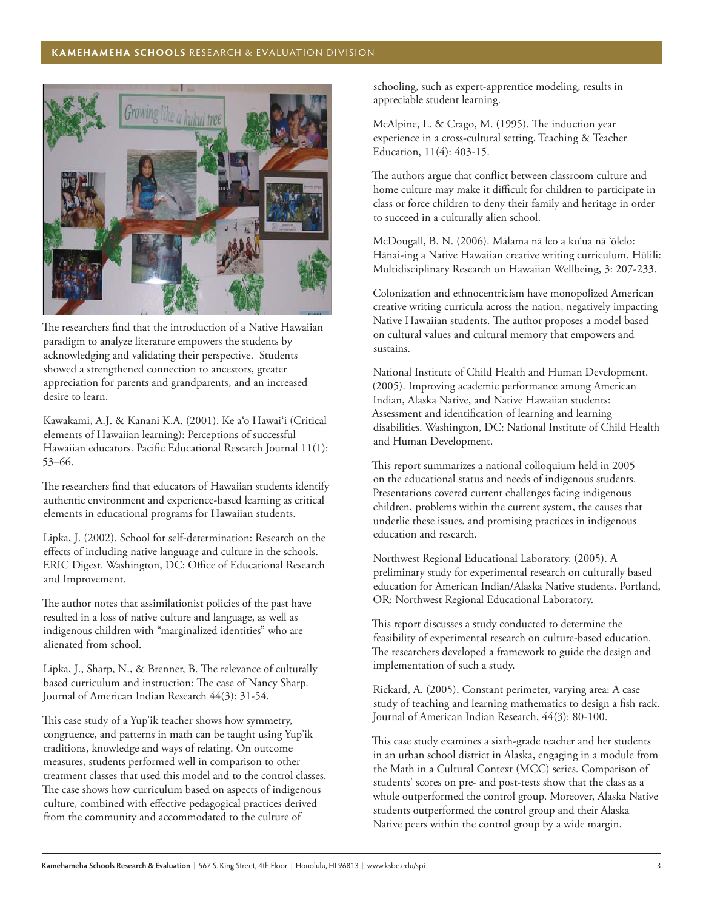## **KAMEHAMEHA SCHOOLS** RESEARCH & EVALUATION DIVISION



The researchers find that the introduction of a Native Hawaiian paradigm to analyze literature empowers the students by acknowledging and validating their perspective. Students showed a strengthened connection to ancestors, greater appreciation for parents and grandparents, and an increased desire to learn.

Kawakami, A.J. & Kanani K.A. (2001). Ke a'o Hawai'i (Critical elements of Hawaiian learning): Perceptions of successful Hawaiian educators. Pacific Educational Research Journal 11(1): 53–66.

The researchers find that educators of Hawaiian students identify authentic environment and experience-based learning as critical elements in educational programs for Hawaiian students.

Lipka, J. (2002). School for self-determination: Research on the effects of including native language and culture in the schools. ERIC Digest. Washington, DC: Office of Educational Research and Improvement.

The author notes that assimilationist policies of the past have resulted in a loss of native culture and language, as well as indigenous children with "marginalized identities" who are alienated from school.

Lipka, J., Sharp, N., & Brenner, B. The relevance of culturally based curriculum and instruction: The case of Nancy Sharp. Journal of American Indian Research 44(3): 31-54.

This case study of a Yup'ik teacher shows how symmetry, congruence, and patterns in math can be taught using Yup'ik traditions, knowledge and ways of relating. On outcome measures, students performed well in comparison to other treatment classes that used this model and to the control classes. The case shows how curriculum based on aspects of indigenous culture, combined with effective pedagogical practices derived from the community and accommodated to the culture of

schooling, such as expert-apprentice modeling, results in appreciable student learning.

McAlpine, L. & Crago, M. (1995). The induction year experience in a cross-cultural setting. Teaching & Teacher Education, 11(4): 403-15.

The authors argue that conflict between classroom culture and home culture may make it difficult for children to participate in class or force children to deny their family and heritage in order to succeed in a culturally alien school.

McDougall, B. N. (2006). Mālama nā leo a ku'ua nā 'ōlelo: Hānai-ing a Native Hawaiian creative writing curriculum. Hūlili: Multidisciplinary Research on Hawaiian Wellbeing, 3: 207-233.

Colonization and ethnocentricism have monopolized American creative writing curricula across the nation, negatively impacting Native Hawaiian students. The author proposes a model based on cultural values and cultural memory that empowers and sustains.

National Institute of Child Health and Human Development. (2005). Improving academic performance among American Indian, Alaska Native, and Native Hawaiian students: Assessment and identification of learning and learning disabilities. Washington, DC: National Institute of Child Health and Human Development.

This report summarizes a national colloquium held in 2005 on the educational status and needs of indigenous students. Presentations covered current challenges facing indigenous children, problems within the current system, the causes that underlie these issues, and promising practices in indigenous education and research.

Northwest Regional Educational Laboratory. (2005). A preliminary study for experimental research on culturally based education for American Indian/Alaska Native students. Portland, OR: Northwest Regional Educational Laboratory.

This report discusses a study conducted to determine the feasibility of experimental research on culture-based education. The researchers developed a framework to guide the design and implementation of such a study.

Rickard, A. (2005). Constant perimeter, varying area: A case study of teaching and learning mathematics to design a fish rack. Journal of American Indian Research, 44(3): 80-100.

This case study examines a sixth-grade teacher and her students in an urban school district in Alaska, engaging in a module from the Math in a Cultural Context (MCC) series. Comparison of students' scores on pre- and post-tests show that the class as a whole outperformed the control group. Moreover, Alaska Native students outperformed the control group and their Alaska Native peers within the control group by a wide margin.